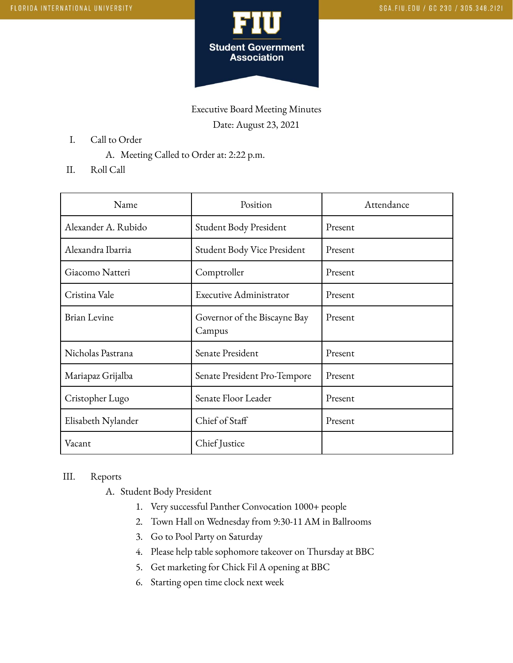

Executive Board Meeting Minutes Date: August 23, 2021

- I. Call to Order
	- A. Meeting Called to Order at: 2:22 p.m.
- II. Roll Call

| Name                | Position                               | Attendance |
|---------------------|----------------------------------------|------------|
| Alexander A. Rubido | Student Body President                 | Present    |
| Alexandra Ibarria   | Student Body Vice President            | Present    |
| Giacomo Natteri     | Comptroller                            | Present    |
| Cristina Vale       | Executive Administrator                | Present    |
| <b>Brian Levine</b> | Governor of the Biscayne Bay<br>Campus | Present    |
| Nicholas Pastrana   | Senate President                       | Present    |
| Mariapaz Grijalba   | Senate President Pro-Tempore           | Present    |
| Cristopher Lugo     | Senate Floor Leader                    | Present    |
| Elisabeth Nylander  | Chief of Staff                         | Present    |
| Vacant              | Chief Justice                          |            |

## III. Reports

A. Student Body President

- 1. Very successful Panther Convocation 1000+ people
- 2. Town Hall on Wednesday from 9:30-11 AM in Ballrooms
- 3. Go to Pool Party on Saturday
- 4. Please help table sophomore takeover on Thursday at BBC
- 5. Get marketing for Chick Fil A opening at BBC
- 6. Starting open time clock next week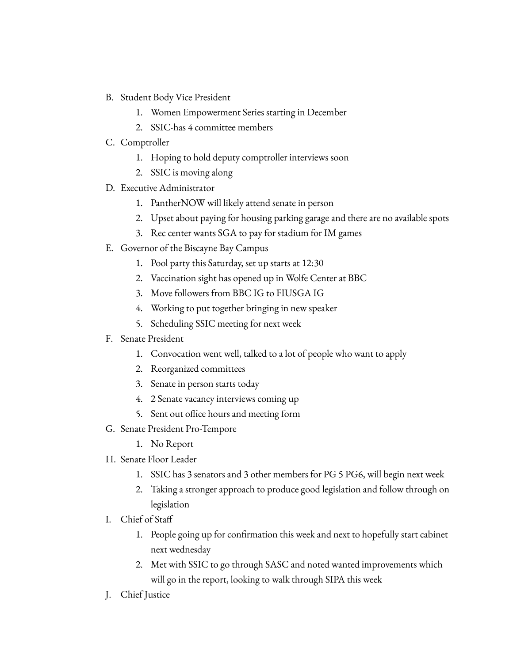- B. Student Body Vice President
	- 1. Women Empowerment Series starting in December
	- 2. SSIC-has 4 committee members
- C. Comptroller
	- 1. Hoping to hold deputy comptroller interviews soon
	- 2. SSIC is moving along
- D. Executive Administrator
	- 1. PantherNOW will likely attend senate in person
	- 2. Upset about paying for housing parking garage and there are no available spots
	- 3. Rec center wants SGA to pay for stadium for IM games
- E. Governor of the Biscayne Bay Campus
	- 1. Pool party this Saturday, set up starts at 12:30
	- 2. Vaccination sight has opened up in Wolfe Center at BBC
	- 3. Move followers from BBC IG to FIUSGA IG
	- 4. Working to put together bringing in new speaker
	- 5. Scheduling SSIC meeting for next week
- F. Senate President
	- 1. Convocation went well, talked to a lot of people who want to apply
	- 2. Reorganized committees
	- 3. Senate in person starts today
	- 4. 2 Senate vacancy interviews coming up
	- 5. Sent out office hours and meeting form
- G. Senate President Pro-Tempore
	- 1. No Report
- H. Senate Floor Leader
	- 1. SSIC has 3 senators and 3 other members for PG 5 PG6, will begin next week
	- 2. Taking a stronger approach to produce good legislation and follow through on legislation
- I. Chief of Staff
	- 1. People going up for confirmation this week and next to hopefully start cabinet next wednesday
	- 2. Met with SSIC to go through SASC and noted wanted improvements which will go in the report, looking to walk through SIPA this week
- J. Chief Justice